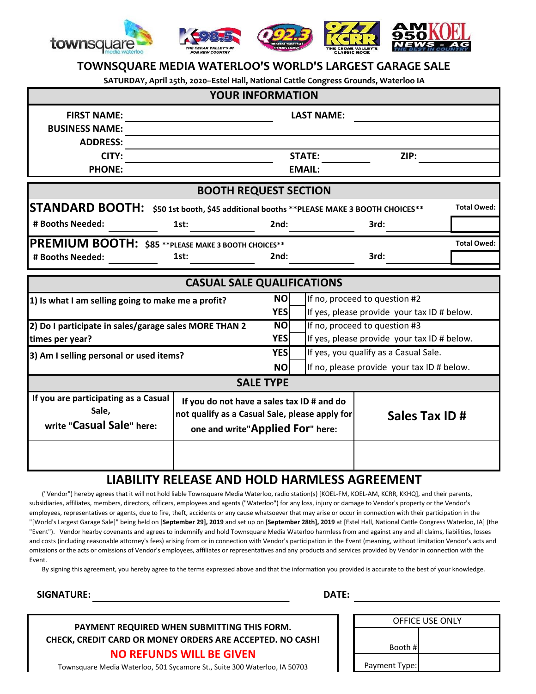

## **TOWNSQUARE MEDIA WATERLOO'S WORLD'S LARGEST GARAGE SALE**

**SATURDAY, April 25th, 2020--Estel Hall, National Cattle Congress Grounds, Waterloo IA**

|                                                       | <b>YOUR INFORMATION</b>                                                 |                  |                                            |                                             |                    |  |
|-------------------------------------------------------|-------------------------------------------------------------------------|------------------|--------------------------------------------|---------------------------------------------|--------------------|--|
| <b>FIRST NAME:</b>                                    |                                                                         |                  | <b>LAST NAME:</b>                          |                                             |                    |  |
| <b>BUSINESS NAME:</b>                                 |                                                                         |                  |                                            |                                             |                    |  |
| <b>ADDRESS:</b>                                       |                                                                         |                  |                                            |                                             |                    |  |
| CITY:                                                 |                                                                         |                  | <b>STATE:</b>                              | ZIP:                                        |                    |  |
| <b>PHONE:</b>                                         |                                                                         |                  | <b>EMAIL:</b>                              |                                             |                    |  |
|                                                       | <b>BOOTH REQUEST SECTION</b>                                            |                  |                                            |                                             |                    |  |
| <b>STANDARD BOOTH:</b>                                | \$50 1st booth, \$45 additional booths ** PLEASE MAKE 3 BOOTH CHOICES** |                  |                                            |                                             | Total Owed:        |  |
| # Booths Needed:                                      | 1st:                                                                    | 2nd:             |                                            | 3rd:                                        |                    |  |
| PREMIUM BOOTH: \$85 ** PLEASE MAKE 3 BOOTH CHOICES**  |                                                                         |                  |                                            |                                             | <b>Total Owed:</b> |  |
| # Booths Needed:                                      | 1st:                                                                    | 2nd:             |                                            | 3rd:                                        |                    |  |
|                                                       |                                                                         |                  |                                            |                                             |                    |  |
|                                                       | <b>CASUAL SALE QUALIFICATIONS</b>                                       |                  |                                            |                                             |                    |  |
| 1) Is what I am selling going to make me a profit?    |                                                                         | <b>NO</b>        |                                            | If no, proceed to question #2               |                    |  |
|                                                       |                                                                         | YES              |                                            | If yes, please provide your tax ID # below. |                    |  |
| 2) Do I participate in sales/garage sales MORE THAN 2 |                                                                         | <b>NO</b>        | If no, proceed to question #3              |                                             |                    |  |
| times per year?                                       |                                                                         | <b>YESI</b>      |                                            | If yes, please provide your tax ID # below. |                    |  |
| 3) Am I selling personal or used items?               |                                                                         | <b>YES</b>       | If yes, you qualify as a Casual Sale.      |                                             |                    |  |
|                                                       |                                                                         | <b>NO</b>        | If no, please provide your tax ID # below. |                                             |                    |  |
|                                                       |                                                                         | <b>SALE TYPE</b> |                                            |                                             |                    |  |
| If you are participating as a Casual                  | If you do not have a sales tax ID # and do                              |                  |                                            |                                             |                    |  |
| Sale,                                                 | not qualify as a Casual Sale, please apply for                          |                  |                                            | Sales Tax ID#                               |                    |  |
| write "Casual Sale" here:                             | one and write"Applied For" here:                                        |                  |                                            |                                             |                    |  |
|                                                       |                                                                         |                  |                                            |                                             |                    |  |
|                                                       |                                                                         |                  |                                            |                                             |                    |  |

## **LIABILITY RELEASE AND HOLD HARMLESS AGREEMENT**

 ("Vendor") hereby agrees that it will not hold liable Townsquare Media Waterloo, radio station(s) [KOEL-FM, KOEL-AM, KCRR, KKHQ], and their parents, subsidiaries, affiliates, members, directors, officers, employees and agents ("Waterloo") for any loss, injury or damage to Vendor's property or the Vendor's employees, representatives or agents, due to fire, theft, accidents or any cause whatsoever that may arise or occur in connection with their participation in the "[World's Largest Garage Sale]" being held on [**September 29], 2019** and set up on [**September 28th], 2019** at [Estel Hall, National Cattle Congress Waterloo, IA] (the "Event"). Vendor hearby covenants and agrees to indemnify and hold Townsquare Media Waterloo harmless from and against any and all claims, liabilities, losses and costs (including reasonable attorney's fees) arising from or in connection with Vendor's participation in the Event (meaning, without limitation Vendor's acts and omissions or the acts or omissions of Vendor's employees, affiliates or representatives and any products and services provided by Vendor in connection with the Event.

By signing this agreement, you hereby agree to the terms expressed above and that the information you provided is accurate to the best of your knowledge.

**SIGNATURE:**

**DATE:**

**PAYMENT REQUIRED WHEN SUBMITTING THIS FORM. CHECK, CREDIT CARD OR MONEY ORDERS ARE ACCEPTED. NO CASH! NO REFUNDS WILL BE GIVEN**

| <b>OFFICE USE ONLY</b> |               |  |
|------------------------|---------------|--|
|                        |               |  |
|                        | Booth #       |  |
|                        | Payment Type: |  |

Townsquare Media Waterloo, 501 Sycamore St., Suite 300 Waterloo, IA 50703